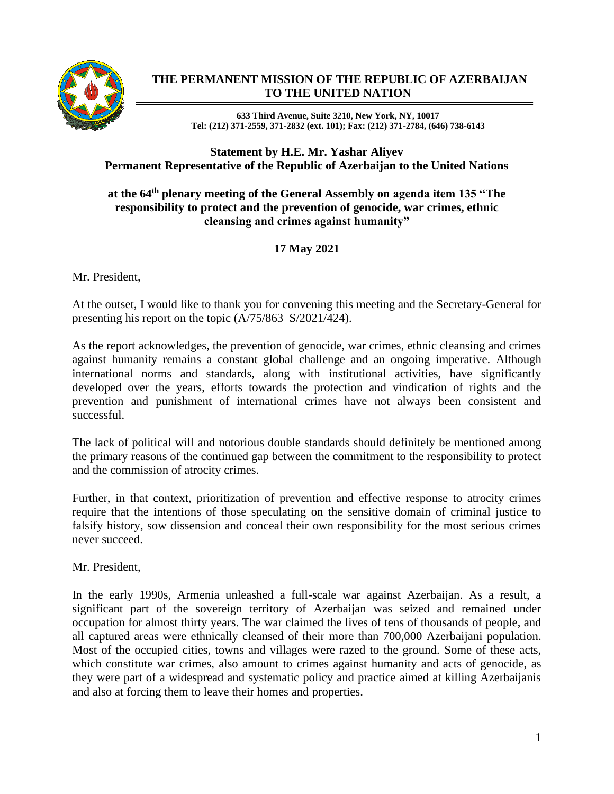

## **THE PERMANENT MISSION OF THE REPUBLIC OF AZERBAIJAN TO THE UNITED NATION**

**633 Third Avenue, Suite 3210, New York, NY, 10017 Tel: (212) 371-2559, 371-2832 (ext. 101); Fax: (212) 371-2784, (646) 738-6143**

## **Statement by H.E. Mr. Yashar Aliyev Permanent Representative of the Republic of Azerbaijan to the United Nations**

## **at the 64th plenary meeting of the General Assembly on agenda item 135 "The responsibility to protect and the prevention of genocide, war crimes, ethnic cleansing and crimes against humanity"**

## **17 May 2021**

Mr. President,

At the outset, I would like to thank you for convening this meeting and the Secretary-General for presenting his report on the topic (A/75/863–S/2021/424).

As the report acknowledges, the prevention of genocide, war crimes, ethnic cleansing and crimes against humanity remains a constant global challenge and an ongoing imperative. Although international norms and standards, along with institutional activities, have significantly developed over the years, efforts towards the protection and vindication of rights and the prevention and punishment of international crimes have not always been consistent and successful.

The lack of political will and notorious double standards should definitely be mentioned among the primary reasons of the continued gap between the commitment to the responsibility to protect and the commission of atrocity crimes.

Further, in that context, prioritization of prevention and effective response to atrocity crimes require that the intentions of those speculating on the sensitive domain of criminal justice to falsify history, sow dissension and conceal their own responsibility for the most serious crimes never succeed.

Mr. President,

In the early 1990s, Armenia unleashed a full-scale war against Azerbaijan. As a result, a significant part of the sovereign territory of Azerbaijan was seized and remained under occupation for almost thirty years. The war claimed the lives of tens of thousands of people, and all captured areas were ethnically cleansed of their more than 700,000 Azerbaijani population. Most of the occupied cities, towns and villages were razed to the ground. Some of these acts, which constitute war crimes, also amount to crimes against humanity and acts of genocide, as they were part of a widespread and systematic policy and practice aimed at killing Azerbaijanis and also at forcing them to leave their homes and properties.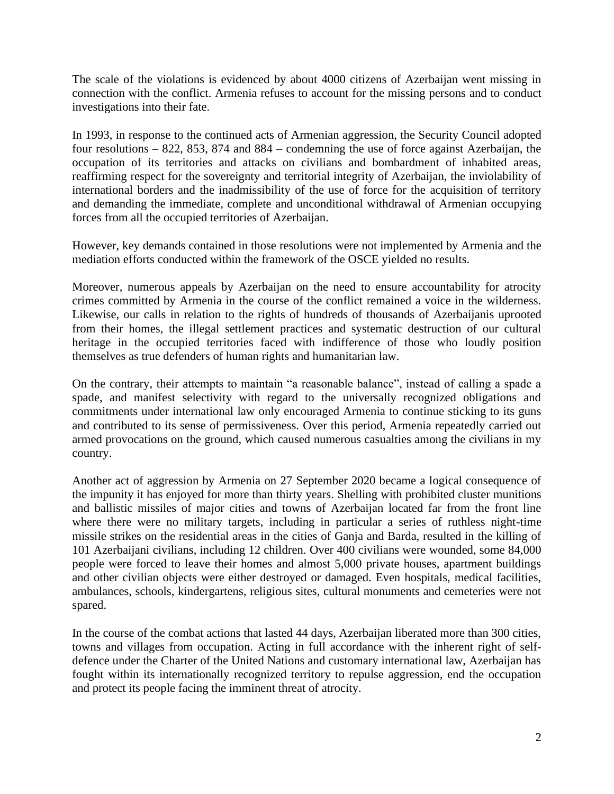The scale of the violations is evidenced by about 4000 citizens of Azerbaijan went missing in connection with the conflict. Armenia refuses to account for the missing persons and to conduct investigations into their fate.

In 1993, in response to the continued acts of Armenian aggression, the Security Council adopted four resolutions – 822, 853, 874 and 884 – condemning the use of force against Azerbaijan, the occupation of its territories and attacks on civilians and bombardment of inhabited areas, reaffirming respect for the sovereignty and territorial integrity of Azerbaijan, the inviolability of international borders and the inadmissibility of the use of force for the acquisition of territory and demanding the immediate, complete and unconditional withdrawal of Armenian occupying forces from all the occupied territories of Azerbaijan.

However, key demands contained in those resolutions were not implemented by Armenia and the mediation efforts conducted within the framework of the OSCE yielded no results.

Moreover, numerous appeals by Azerbaijan on the need to ensure accountability for atrocity crimes committed by Armenia in the course of the conflict remained a voice in the wilderness. Likewise, our calls in relation to the rights of hundreds of thousands of Azerbaijanis uprooted from their homes, the illegal settlement practices and systematic destruction of our cultural heritage in the occupied territories faced with indifference of those who loudly position themselves as true defenders of human rights and humanitarian law.

On the contrary, their attempts to maintain "a reasonable balance", instead of calling a spade a spade, and manifest selectivity with regard to the universally recognized obligations and commitments under international law only encouraged Armenia to continue sticking to its guns and contributed to its sense of permissiveness. Over this period, Armenia repeatedly carried out armed provocations on the ground, which caused numerous casualties among the civilians in my country.

Another act of aggression by Armenia on 27 September 2020 became a logical consequence of the impunity it has enjoyed for more than thirty years. Shelling with prohibited cluster munitions and ballistic missiles of major cities and towns of Azerbaijan located far from the front line where there were no military targets, including in particular a series of ruthless night-time missile strikes on the residential areas in the cities of Ganja and Barda, resulted in the killing of 101 Azerbaijani civilians, including 12 children. Over 400 civilians were wounded, some 84,000 people were forced to leave their homes and almost 5,000 private houses, apartment buildings and other civilian objects were either destroyed or damaged. Even hospitals, medical facilities, ambulances, schools, kindergartens, religious sites, cultural monuments and cemeteries were not spared.

In the course of the combat actions that lasted 44 days, Azerbaijan liberated more than 300 cities, towns and villages from occupation. Acting in full accordance with the inherent right of selfdefence under the Charter of the United Nations and customary international law, Azerbaijan has fought within its internationally recognized territory to repulse aggression, end the occupation and protect its people facing the imminent threat of atrocity.